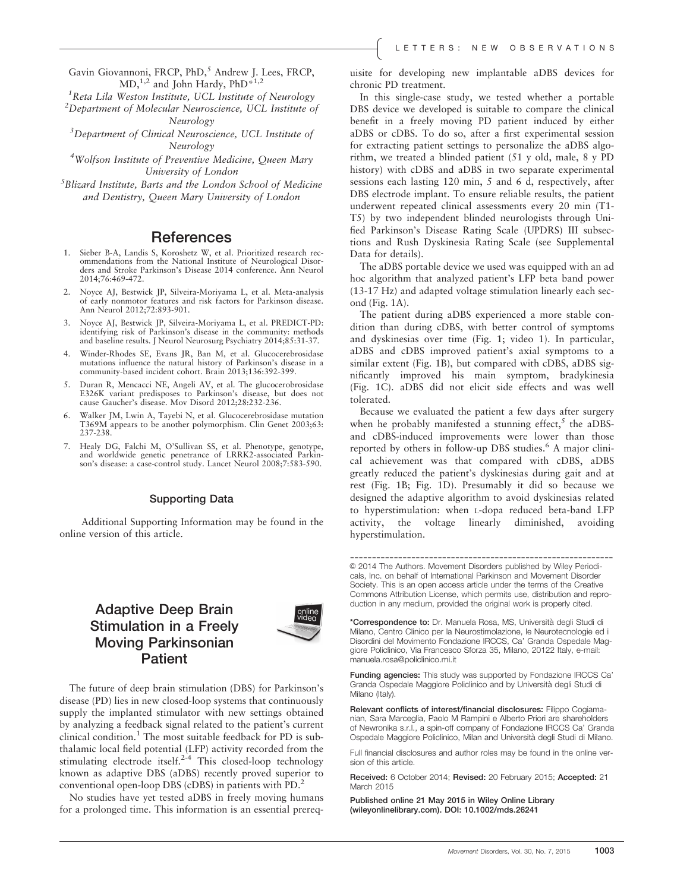Gavin Giovannoni, FRCP, PhD,<sup>5</sup> Andrew J. Lees, FRCP,  $MD<sub>1</sub><sup>1,2</sup>$  and John Hardy, PhD<sup>\*1,2</sup>

<sup>1</sup>Reta Lila Weston Institute, UCL Institute of Neurology<br><sup>2</sup>Department of Molecular Neuroccionae, UCL Institute o

 $2$ Department of Molecular Neuroscience, UCL Institute of Neurology

<sup>3</sup>Department of Clinical Neuroscience, UCL Institute of Neurology

<sup>4</sup>Wolfson Institute of Preventive Medicine, Queen Mary University of London

 ${}^{5}$ Blizard Institute, Barts and the London School of Medicine and Dentistry, Queen Mary University of London

### **References**

- 1. Sieber B-A, Landis S, Koroshetz W, et al. Prioritized research recommendations from the National Institute of Neurological Disorders and Stroke Parkinson's Disease 2014 conference. Ann Neurol 2014;76:469-472.
- 2. Noyce AJ, Bestwick JP, Silveira-Moriyama L, et al. Meta-analysis of early nonmotor features and risk factors for Parkinson disease. Ann Neurol 2012;72:893-901.
- Noyce AJ, Bestwick JP, Silveira-Moriyama L, et al. PREDICT-PD: identifying risk of Parkinson's disease in the community: methods and baseline results. J Neurol Neurosurg Psychiatry 2014;85:31-37.
- 4. Winder-Rhodes SE, Evans JR, Ban M, et al. Glucocerebrosidase mutations influence the natural history of Parkinson's disease in a community-based incident cohort. Brain 2013;136:392-399.
- 5. Duran R, Mencacci NE, Angeli AV, et al. The glucocerobrosidase E326K variant predisposes to Parkinson's disease, but does not cause Gaucher's disease. Mov Disord 2012;28:232-236.
- Walker JM, Lwin A, Tayebi N, et al. Glucocerebrosidase mutation T369M appears to be another polymorphism. Clin Genet 2003;63: 237-238.
- 7. Healy DG, Falchi M, O'Sullivan SS, et al. Phenotype, genotype, and worldwide genetic penetrance of LRRK2-associated Parkinson's disease: a case-control study. Lancet Neurol 2008;7:583-590.

#### Supporting Data

Additional Supporting Information may be found in the online version of this article.

# Adaptive Deep Brain Stimulation in a Freely Moving Parkinsonian **Patient**



The future of deep brain stimulation (DBS) for Parkinson's disease (PD) lies in new closed-loop systems that continuously supply the implanted stimulator with new settings obtained by analyzing a feedback signal related to the patient's current clinical condition.<sup>1</sup> The most suitable feedback for PD is subthalamic local field potential (LFP) activity recorded from the stimulating electrode itself.<sup>2-4</sup> This closed-loop technology known as adaptive DBS (aDBS) recently proved superior to conventional open-loop DBS (cDBS) in patients with PD.2

No studies have yet tested aDBS in freely moving humans for a prolonged time. This information is an essential prerequisite for developing new implantable aDBS devices for chronic PD treatment.

In this single-case study, we tested whether a portable DBS device we developed is suitable to compare the clinical benefit in a freely moving PD patient induced by either aDBS or cDBS. To do so, after a first experimental session for extracting patient settings to personalize the aDBS algorithm, we treated a blinded patient (51 y old, male, 8 y PD history) with cDBS and aDBS in two separate experimental sessions each lasting 120 min, 5 and 6 d, respectively, after DBS electrode implant. To ensure reliable results, the patient underwent repeated clinical assessments every 20 min (T1- T5) by two independent blinded neurologists through Unified Parkinson's Disease Rating Scale (UPDRS) III subsections and Rush Dyskinesia Rating Scale (see Supplemental Data for details).

The aDBS portable device we used was equipped with an ad hoc algorithm that analyzed patient's LFP beta band power (13-17 Hz) and adapted voltage stimulation linearly each second (Fig. 1A).

The patient during aDBS experienced a more stable condition than during cDBS, with better control of symptoms and dyskinesias over time (Fig. 1; video 1). In particular, aDBS and cDBS improved patient's axial symptoms to a similar extent (Fig. 1B), but compared with cDBS, aDBS significantly improved his main symptom, bradykinesia (Fig. 1C). aDBS did not elicit side effects and was well tolerated.

Because we evaluated the patient a few days after surgery when he probably manifested a stunning effect,<sup>5</sup> the aDBSand cDBS-induced improvements were lower than those reported by others in follow-up DBS studies.<sup>6</sup> A major clinical achievement was that compared with cDBS, aDBS greatly reduced the patient's dyskinesias during gait and at rest (Fig. 1B; Fig. 1D). Presumably it did so because we designed the adaptive algorithm to avoid dyskinesias related to hyperstimulation: when L-dopa reduced beta-band LFP activity, the voltage linearly diminished, avoiding hyperstimulation.

------------------------------------------------------------ V<sup>C</sup> 2014 The Authors. Movement Disorders published by Wiley Periodicals, Inc. on behalf of International Parkinson and Movement Disorder Society. This is an open access article under the terms of the Creative Commons Attribution License, which permits use, distribution and reproduction in any medium, provided the original work is properly cited.

\*Correspondence to: Dr. Manuela Rosa, MS, Università degli Studi di Milano, Centro Clinico per la Neurostimolazione, le Neurotecnologie ed i Disordini del Movimento Fondazione IRCCS, Ca' Granda Ospedale Maggiore Policlinico, Via Francesco Sforza 35, Milano, 20122 Italy, e-mail: manuela.rosa@policlinico.mi.it

Funding agencies: This study was supported by Fondazione IRCCS Ca' Granda Ospedale Maggiore Policlinico and by Università degli Studi di Milano (Italy).

Relevant conflicts of interest/financial disclosures: Filippo Cogiamanian, Sara Marceglia, Paolo M Rampini e Alberto Priori are shareholders of Newronika s.r.l., a spin-off company of Fondazione IRCCS Ca' Granda Ospedale Maggiore Policlinico, Milan and Università degli Studi di Milano.

Full financial disclosures and author roles may be found in the online version of this article.

Received: 6 October 2014; Revised: 20 February 2015; Accepted: 21 March 2015

Published online 21 May 2015 in Wiley Online Library (wileyonlinelibrary.com). DOI: 10.1002/mds.26241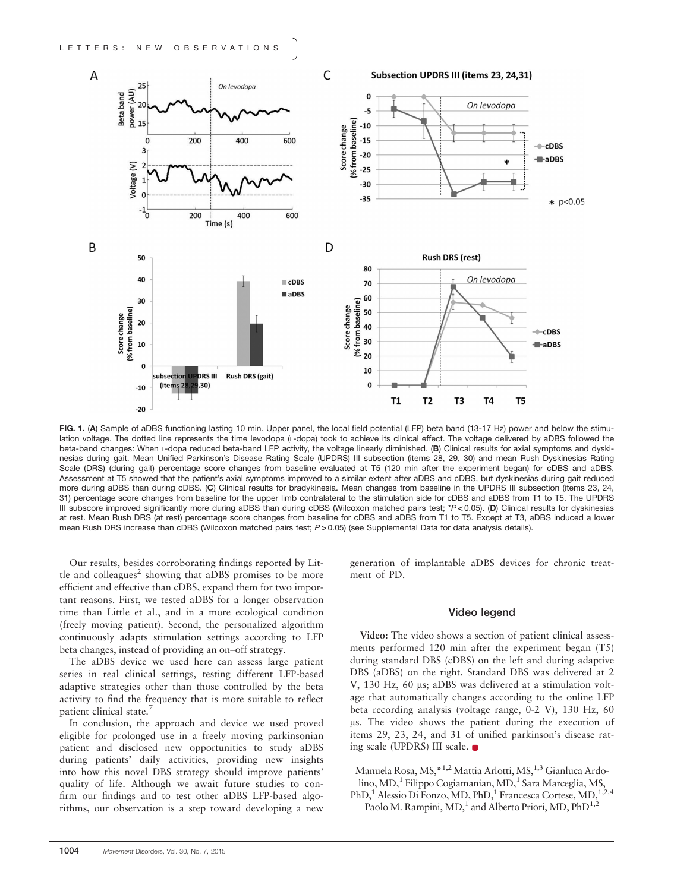

FIG. 1. (A) Sample of aDBS functioning lasting 10 min. Upper panel, the local field potential (LFP) beta band (13-17 Hz) power and below the stimulation voltage. The dotted line represents the time levodopa (L-dopa) took to achieve its clinical effect. The voltage delivered by aDBS followed the beta-band changes: When L-dopa reduced beta-band LFP activity, the voltage linearly diminished. (B) Clinical results for axial symptoms and dyskinesias during gait. Mean Unified Parkinson's Disease Rating Scale (UPDRS) III subsection (items 28, 29, 30) and mean Rush Dyskinesias Rating Scale (DRS) (during gait) percentage score changes from baseline evaluated at T5 (120 min after the experiment began) for cDBS and aDBS. Assessment at T5 showed that the patient's axial symptoms improved to a similar extent after aDBS and cDBS, but dyskinesias during gait reduced more during aDBS than during cDBS. (C) Clinical results for bradykinesia. Mean changes from baseline in the UPDRS III subsection (items 23, 24, 31) percentage score changes from baseline for the upper limb contralateral to the stimulation side for cDBS and aDBS from T1 to T5. The UPDRS III subscore improved significantly more during aDBS than during cDBS (Wilcoxon matched pairs test; \*P<0.05). (D) Clinical results for dyskinesias at rest. Mean Rush DRS (at rest) percentage score changes from baseline for cDBS and aDBS from T1 to T5. Except at T3, aDBS induced a lower mean Rush DRS increase than cDBS (Wilcoxon matched pairs test; P>0.05) (see Supplemental Data for data analysis details).

Our results, besides corroborating findings reported by Little and colleagues<sup>2</sup> showing that aDBS promises to be more efficient and effective than cDBS, expand them for two important reasons. First, we tested aDBS for a longer observation time than Little et al., and in a more ecological condition (freely moving patient). Second, the personalized algorithm continuously adapts stimulation settings according to LFP beta changes, instead of providing an on–off strategy.

The aDBS device we used here can assess large patient series in real clinical settings, testing different LFP-based adaptive strategies other than those controlled by the beta activity to find the frequency that is more suitable to reflect patient clinical state.<sup>7</sup>

In conclusion, the approach and device we used proved eligible for prolonged use in a freely moving parkinsonian patient and disclosed new opportunities to study aDBS during patients' daily activities, providing new insights into how this novel DBS strategy should improve patients' quality of life. Although we await future studies to confirm our findings and to test other aDBS LFP-based algorithms, our observation is a step toward developing a new generation of implantable aDBS devices for chronic treatment of PD.

#### Video legend

Video: The video shows a section of patient clinical assessments performed 120 min after the experiment began (T5) during standard DBS (cDBS) on the left and during adaptive DBS (aDBS) on the right. Standard DBS was delivered at 2 V, 130 Hz, 60 µs; aDBS was delivered at a stimulation voltage that automatically changes according to the online LFP beta recording analysis (voltage range, 0-2 V), 130 Hz, 60 us. The video shows the patient during the execution of items 29, 23, 24, and 31 of unified parkinson's disease rating scale (UPDRS) III scale.

Manuela Rosa, MS, \*<sup>1,2</sup> Mattia Arlotti, MS, <sup>1,3</sup> Gianluca Ardolino, MD,<sup>1</sup> Filippo Cogiamanian, MD,<sup>1</sup> Sara Marceglia, MS, PhD,<sup>1</sup> Alessio Di Fonzo, MD, PhD,<sup>1</sup> Francesca Cortese, MD,<sup>1,2,4</sup> Paolo M. Rampini, MD,<sup>1</sup> and Alberto Priori, MD, PhD<sup>1,2</sup>